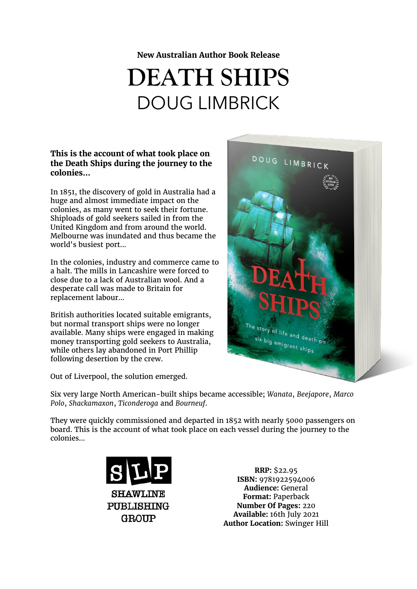**New Australian Author Book Release**

# **DEATH SHIPS** DOUG LIMBRICK

**This is the account of what took place on the Death Ships during the journey to the colonies…**

In 1851, the discovery of gold in Australia had a huge and almost immediate impact on the colonies, as many went to seek their fortune. Shiploads of gold seekers sailed in from the United Kingdom and from around the world. Melbourne was inundated and thus became the world's busiest port…

In the colonies, industry and commerce came to a halt. The mills in Lancashire were forced to close due to a lack of Australian wool. And a desperate call was made to Britain for replacement labour…

British authorities located suitable emigrants, but normal transport ships were no longer available. Many ships were engaged in making money transporting gold seekers to Australia, while others lay abandoned in Port Phillip following desertion by the crew.

Out of Liverpool, the solution emerged.

Six very large North American-built ships became accessible; *Wanata*, *Beejapore*, *Marco Polo*, *Shackamaxon*, *Ticonderoga* and *Bourneuf*.

They were quickly commissioned and departed in 1852 with nearly 5000 passengers on board. This is the account of what took place on each vessel during the journey to the colonies…



**RRP:** \$22.95 **ISBN:** 9781922594006 **Audience:** General **Format:** Paperback **Number Of Pages:** 220 **Available:** 16th July 2021 **Author Location:** Swinger Hill

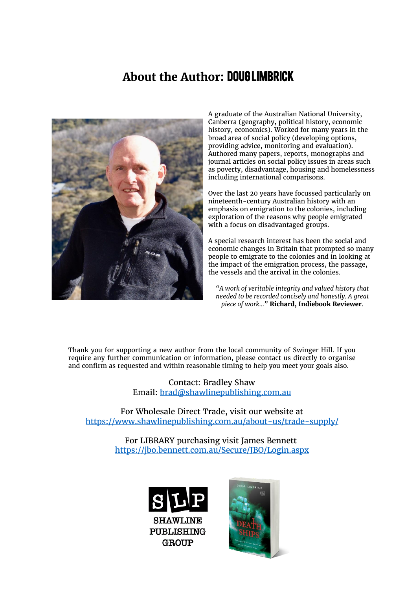# **About the Author:** Doug limbrick



A graduate of the Australian National University, Canberra (geography, political history, economic history, economics). Worked for many years in the broad area of social policy (developing options, providing advice, monitoring and evaluation). Authored many papers, reports, monographs and journal articles on social policy issues in areas such as poverty, disadvantage, housing and homelessness including international comparisons.

Over the last 20 years have focussed particularly on nineteenth-century Australian history with an emphasis on emigration to the colonies, including exploration of the reasons why people emigrated with a focus on disadvantaged groups.

A special research interest has been the social and economic changes in Britain that prompted so many people to emigrate to the colonies and in looking at the impact of the emigration process, the passage, the vessels and the arrival in the colonies.

*"A work of veritable integrity and valued history that needed to be recorded concisely and honestly. A great piece of work…"* **Richard, Indiebook Reviewer**.

Thank you for supporting a new author from the local community of Swinger Hill. If you require any further communication or information, please contact us directly to organise contact to and confirm as requested and within reasonable timing to help you meet your goals also.

> Contact: Bradley Shaw Email: <u>brad@shawlinepublishing.com.au</u>

<u><https://www.shawlinepublishing.com.au/about-us/trade-supply/></u> For Wholesale Direct Trade, visit our website at

> For LIBRARY purchasing visit James Bennett <https://jbo.bennett.com.au/Secure/JBO/Login.aspx>